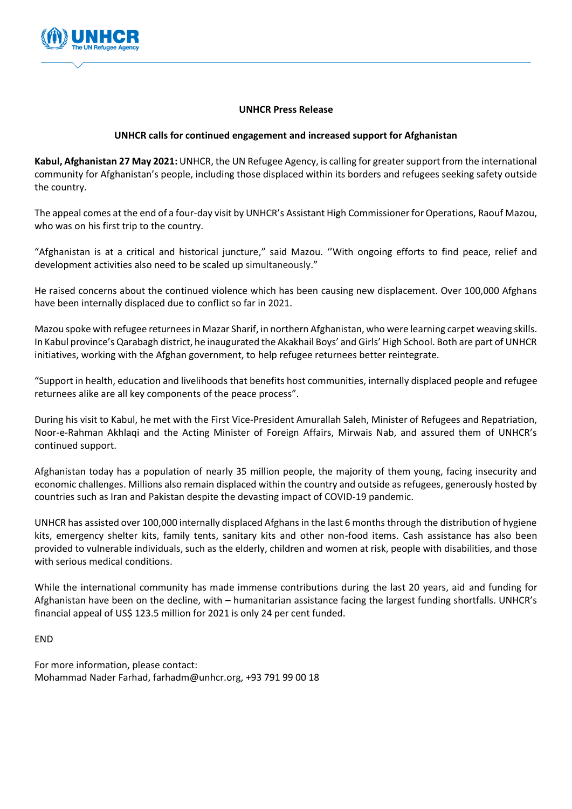

## **UNHCR Press Release**

## **UNHCR calls for continued engagement and increased support for Afghanistan**

**Kabul, Afghanistan 27 May 2021:** UNHCR, the UN Refugee Agency, is calling for greater support from the international community for Afghanistan's people, including those displaced within its borders and refugees seeking safety outside the country.

The appeal comes at the end of a four-day visit by UNHCR's Assistant High Commissioner for Operations, Raouf Mazou, who was on his first trip to the country.

"Afghanistan is at a critical and historical juncture," said Mazou. ''With ongoing efforts to find peace, relief and development activities also need to be scaled up simultaneously."

He raised concerns about the continued violence which has been causing new displacement. Over 100,000 Afghans have been internally displaced due to conflict so far in 2021.

Mazou spoke with refugee returnees in Mazar Sharif, in northern Afghanistan, who were learning carpet weaving skills. In Kabul province's Qarabagh district, he inaugurated the Akakhail Boys' and Girls' High School. Both are part of UNHCR initiatives, working with the Afghan government, to help refugee returnees better reintegrate.

"Support in health, education and livelihoods that benefits host communities, internally displaced people and refugee returnees alike are all key components of the peace process".

During his visit to Kabul, he met with the First Vice-President Amurallah Saleh, Minister of Refugees and Repatriation, Noor-e-Rahman Akhlaqi and the Acting Minister of Foreign Affairs, Mirwais Nab, and assured them of UNHCR's continued support.

Afghanistan today has a population of nearly 35 million people, the majority of them young, facing insecurity and economic challenges. Millions also remain displaced within the country and outside as refugees, generously hosted by countries such as Iran and Pakistan despite the devasting impact of COVID-19 pandemic.

UNHCR has assisted over 100,000 internally displaced Afghans in the last 6 months through the distribution of hygiene kits, emergency shelter kits, family tents, sanitary kits and other non-food items. Cash assistance has also been provided to vulnerable individuals, such as the elderly, children and women at risk, people with disabilities, and those with serious medical conditions.

While the international community has made immense contributions during the last 20 years, aid and funding for Afghanistan have been on the decline, with – humanitarian assistance facing the largest funding shortfalls. UNHCR's financial appeal of US\$ 123.5 million for 2021 is only 24 per cent funded.

## END

For more information, please contact: Mohammad Nader Farhad, farhadm@unhcr.org, +93 791 99 00 18